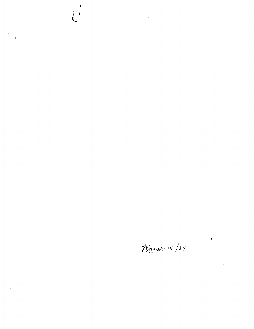$\label{eq:2.1} \frac{1}{\sqrt{2\pi}}\int_{\mathbb{R}^3}\frac{1}{\sqrt{2\pi}}\int_{\mathbb{R}^3}\frac{1}{\sqrt{2\pi}}\int_{\mathbb{R}^3}\frac{1}{\sqrt{2\pi}}\int_{\mathbb{R}^3}\frac{1}{\sqrt{2\pi}}\int_{\mathbb{R}^3}\frac{1}{\sqrt{2\pi}}\int_{\mathbb{R}^3}\frac{1}{\sqrt{2\pi}}\int_{\mathbb{R}^3}\frac{1}{\sqrt{2\pi}}\int_{\mathbb{R}^3}\frac{1}{\sqrt{2\pi}}\int_{\mathbb{R}^3}\frac{1$ 

 $\hat{y}$ 

 $\hat{\boldsymbol{\beta}}$ 

 $\mathcal{A}^{\mathcal{A}}$ 

 $\label{eq:2.1} \mathcal{L}(\mathcal{L}^{\text{max}}_{\mathcal{L}}(\mathcal{L}^{\text{max}}_{\mathcal{L}}),\mathcal{L}^{\text{max}}_{\mathcal{L}^{\text{max}}_{\mathcal{L}}})$ 

 $\mathcal{L}^{\text{max}}_{\text{max}}$ 

 $\mathcal{L}_{\mathcal{A}}$  $\mathcal{L}^{\text{max}}$ 

0

March 19/84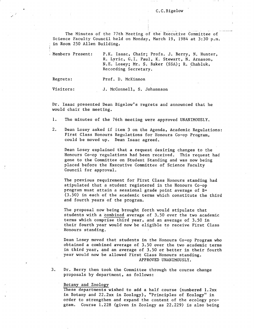The Minutes of the 77th Meeting of the Executive Committee of Science Faculty Council held on Monday, March 19, 1984 at 3:30 p.m. in Room 250 Allen Building.

Members Present: P.K. Isaac, Chair; Profs. J. Berry, N. Hunter, R. Lyric, G.I. Paul, K. Stewart, N. Arnason, N.E. Losey; Mr. S. Baker (SSA); R. Chabluk, Recording Secretary. Regrets: Prof. D. McKinnon

Visitors: J. McConnell, S. Johannson

Dr. Isaac presented Dean Bigelow's regrets and announced that he would chair the meeting.

- $1.$ The minutes of the 76th meeting were approved UNANIMOUSLY.
- $2.$ Dean Losey asked if item 3 on the Agenda, Academic Regulations: First Class Honours Regulations for Honours Co-op Program, could be moved up. Dean Isaac agreed.

Dean Losey explained that a request desiring changes to the Honours Co-op regulations had been received. This request had gone to the Committee on Student Standing and was now being placed before the Executive Committee of Science Faculty Council for approval.

The previous requirement for First Class Honours standing had stipulated that a student registered in the Honours Co-op program must attain a sessional grade point average of B+ (3.50) in each of the academic terms which constitute the third and fourth years of the program.

The proposal now being brought forth would stipulate that students with a combined average of 3.50 over the two academic terms which comprise third year, and an average of 3.50 in their fourth year would now be eligible to receive First Class Honours standing. -

Dean Losey moved that students in the Honours Co-op Program who obtained a combined average of 3.50 over the two academic terms in third year, and an average of 3.50 or better in their fourth year would now be allowed First Class Honours standing. APPROVED UNANIMOUSLY.

 $3.$ Dr. Berry then took the Committee through the course change proposals by department, as follows:

### Botany and Zoology

These departments wished to add a half course (numbered 1.2xx in Botany and 22.2xx in Zoology), "Principles of Ecology" in order to strengthen and expand the content of the ecology program. Course 1.228 (given in Zoology as 22.229) is also being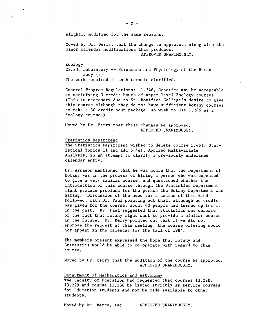slightly modified for the same reasons.

Moved by Dr. Berry, that the change be approved, along with the minor calendar modifications this produces.

APPROVED UNANIMOUSLY.

Zoology

22.235 Laboratory -- Structure and Physiology of the Human Body (2)

The work required in each term is clarified.

General Program Regulations: 1.246, Genetics may be acceptable as satisfying 3 credit hours of upper level Zoology courses. (This is necessary due to St. Boniface College's desire to give this course although they do not have sufficient Botany courses to make a 30 credit hour package, so wish to use 1.246 as a Zoology course.)

Moved by Dr. Berry that these changes be approved. APPROVED UNANIMOUSLY.

# Statistics Department

The Statistics Department wished to delete course 5.461, Statistical Topics II and add 5.4ef, Applied Multivariate Analysis, in an attempt to clarify a previously undefined calendar entry.

Dr. Arnason mentioned that he was aware that the Department of Botany was in the process of hiring a person who was expected to give a very similar course, and questioned whether the introduction of this course through the Statistics Department might produce problems for the person the Botany Department was hiring. Discussion of the need for a course of this kind followed, with Dr. Paul pointing out that, although no credit was given for the course, about 40 people had turned up for it in the past. Dr.. Paul suggested that Statistics was unaware of the fact that Botany might want to provide a similar course in the future. Dr. Berry pointed out that if we did not approve the request at this meeting, the course offering would not appear in the calendar for the fall of 1984.

The members present expressed the hope that Botany and Statistics would be able to co-operate with regard to this course.

Moved by Dr. Berry that the addition of the course be approved. APPROVED UNANIMOUSLY.

Department of Mathematics and Astronomy

The Faculty of Education had requested that courses 13.228, 13.229 and course 13.238 be listed strictly as service courses for Education students and not be made available to other students.

Moved by Dr. Berry, and APPROVED UNANIMOUSLY.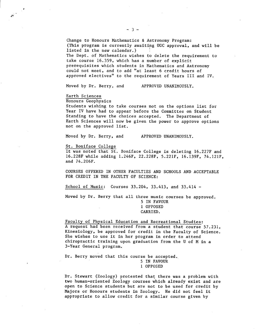Change to Honours Mathematics & Astronomy Program: (This program is currently awaiting UGC approval, and will be listed in the new calendar.) The Dept. of Mathematics wishes to delete the requirement to take course 16.359, which has a number of explicit prerequisites which students in Mathematics and Astronomy could not meet, and to add "at least 6 credit hours of approved electives" to the requirement of Years III and IV.

Moved by Dr. Berry, and APPROVED UNANIMOUSLY.

# Earth Sciences

 $\sigma^{(1)}$ 

Honours Geophysics

Students wishing to take courses not on the options list for Year IV have had to appear before the Committee on Student Standing to have the choices accepted. The Department of Earth Sciences will now be given the power to approve options not on the approved list.

Moved by Dr. Berry, and APPROVED UNANIMOUSLY.

#### St. Boniface College

It was noted that St. Boniface College is deleting 16.227F and 16.228F while adding 1.246F, 22.228F, 5.221F, 16.139F, 74.121F, and 74.206F.

COURSES OFFERED IN OTHER FACULTIES AND SCHOOLS AND ACCEPTABLE FOR CREDIT IN THE FACULTY OF SCIENCE:

School of Music: Courses 33.204, 33.413, and 33.414 -

Moved by Dr. Berry that all three music courses be approved. 5 IN FAVOUR

1 OPPOSED CARRIED.

Faculty of Physical Education and Recreational Studies: A request had been received from a student that course 57.231, Kinesiology, be approved for credit in the Faculty of Science. She wishes to use it in her program in order to attend chiropractic training upon graduation from the U of M in a 3-Year General program.

Dr. Berry moved that this course be accepted.

5 IN FAVOUR 1 OPPOSED

Dr. Stewart (Zoology) protested that there was a problem with two human-oriented Zoology courses which already exist and are open to Science students but are not to be used for credit by Majors or Honours students in Zoology. He did not feel it appropriate to allow credit for a similar course given by